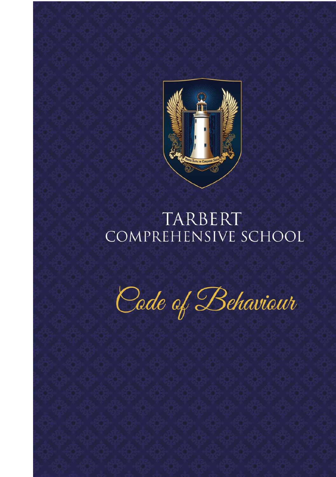

# TARBERT COMPREHENSIVE SCHOOL

Code of Behaviour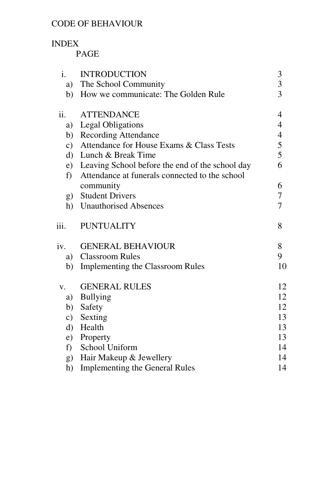#### CODE OF BEHAVIOUR

#### INDEX

#### PAGE

| i.            | <b>INTRODUCTION</b>                             | 3                        |
|---------------|-------------------------------------------------|--------------------------|
| a)            | The School Community                            | 3                        |
| b)            | How we communicate: The Golden Rule             | $\overline{3}$           |
| ii.           | <b>ATTENDANCE</b>                               | $\overline{4}$           |
|               | a) Legal Obligations                            | $\overline{\mathcal{A}}$ |
|               | b) Recording Attendance                         | $\frac{4}{5}$            |
| $\mathbf{c})$ | Attendance for House Exams & Class Tests        |                          |
| $\rm d$       | Lunch & Break Time                              | 5                        |
| e)            | Leaving School before the end of the school day | 6                        |
| f)            | Attendance at funerals connected to the school  |                          |
|               | community                                       | 6                        |
| g)            | <b>Student Drivers</b>                          | $\tau$                   |
| h)            | <b>Unauthorised Absences</b>                    | $\overline{7}$           |
| iii.          | <b>PUNTUALITY</b>                               | 8                        |
| iv.           | <b>GENERAL BEHAVIOUR</b>                        | 8                        |
| a)            | <b>Classroom Rules</b>                          | 9                        |
| b)            | Implementing the Classroom Rules                | 10                       |
| V.            | <b>GENERAL RULES</b>                            | 12                       |
| a)            | <b>Bullying</b>                                 | 12                       |
| b)            | Safety                                          | 12                       |
| $\mathbf{c})$ | Sexting                                         | 13                       |
| d)            | Health                                          | 13                       |
| e)            | Property                                        | 13                       |
| f)            | School Uniform                                  | 14                       |
| (g)           | Hair Makeup & Jewellery                         | 14                       |
| h)            | <b>Implementing the General Rules</b>           | 14                       |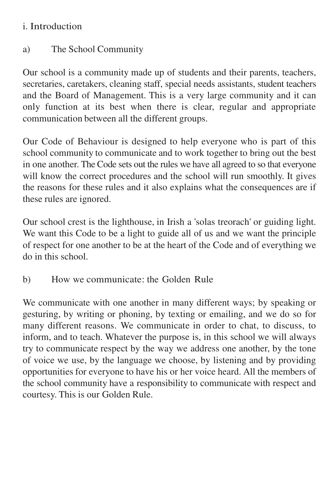#### i. Introduction

# a) The School Community

Our school is a community made up of students and their parents, teachers, secretaries, caretakers, cleaning staff, special needs assistants, student teachers and the Board of Management. This is a very large community and it can only function at its best when there is clear, regular and appropriate communication between all the different groups.

Our Code of Behaviour is designed to help everyone who is part of this school community to communicate and to work together to bring out the best in one another. The Code sets out the rules we have all agreed to so that everyone will know the correct procedures and the school will run smoothly. It gives the reasons for these rules and it also explains what the consequences are if these rules are ignored.

Our school crest is the lighthouse, in Irish a 'solas treorach' or guiding light. We want this Code to be a light to guide all of us and we want the principle of respect for one another to be at the heart of the Code and of everything we do in this school.

b) How we communicate: the Golden Rule

We communicate with one another in many different ways; by speaking or gesturing, by writing or phoning, by texting or emailing, and we do so for many different reasons. We communicate in order to chat, to discuss, to inform, and to teach. Whatever the purpose is, in this school we will always try to communicate respect by the way we address one another, by the tone of voice we use, by the language we choose, by listening and by providing opportunities for everyone to have his or her voice heard. All the members of the school community have a responsibility to communicate with respect and courtesy. This is our Golden Rule.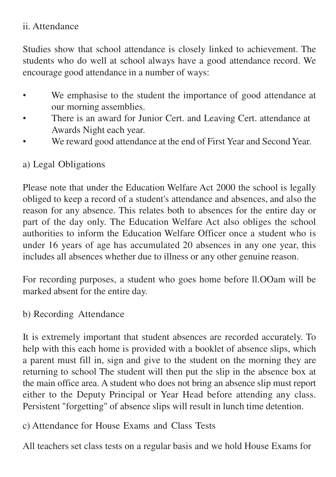#### ii. Attendance

Studies show that school attendance is closely linked to achievement. The students who do well at school always have a good attendance record. We encourage good attendance in a number of ways:

- We emphasise to the student the importance of good attendance at our morning assemblies.
- There is an award for Junior Cert. and Leaving Cert. attendance at Awards Night each year.
- We reward good attendance at the end of First Year and Second Year.

## a) Legal Obligations

Please note that under the Education Welfare Act 2000 the school is legally obliged to keep a record of a student's attendance and absences, and also the reason for any absence. This relates both to absences for the entire day or part of the day only. The Education Welfare Act also obliges the school authorities to inform the Education Welfare Officer once a student who is under 16 years of age has accumulated 20 absences in any one year, this includes all absences whether due to illness or any other genuine reason.

For recording purposes, a student who goes home before ll.OOam will be marked absent for the entire day.

b) Recording Attendance

It is extremely important that student absences are recorded accurately. To help with this each home is provided with a booklet of absence slips, which a parent must fill in, sign and give to the student on the morning they are returning to school The student will then put the slip in the absence box at the main office area. A student who does not bring an absence slip must report either to the Deputy Principal or Year Head before attending any class. Persistent "forgetting" of absence slips will result in lunch time detention.

c) Attendance for House Exams and Class Tests

All teachers set class tests on a regular basis and we hold House Exams for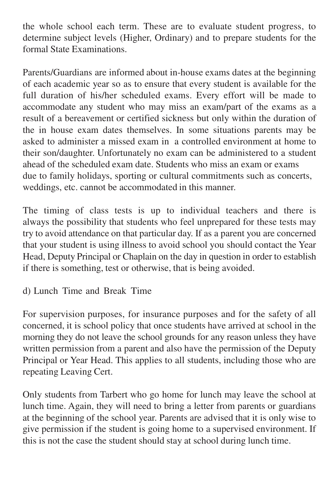the whole school each term. These are to evaluate student progress, to determine subject levels (Higher, Ordinary) and to prepare students for the formal State Examinations.

Parents/Guardians are informed about in-house exams dates at the beginning of each academic year so as to ensure that every student is available for the full duration of his/her scheduled exams. Every effort will be made to accommodate any student who may miss an exam/part of the exams as a result of a bereavement or certified sickness but only within the duration of the in house exam dates themselves. In some situations parents may be asked to administer a missed exam in a controlled environment at home to their son/daughter. Unfortunately no exam can be administered to a student ahead of the scheduled exam date. Students who miss an exam or exams due to family holidays, sporting or cultural commitments such as concerts, weddings, etc. cannot be accommodated in this manner.

The timing of class tests is up to individual teachers and there is always the possibility that students who feel unprepared for these tests may try to avoid attendance on that particular day. If as a parent you are concerned that your student is using illness to avoid school you should contact the Year Head, Deputy Principal or Chaplain on the day in question in order to establish if there is something, test or otherwise, that is being avoided.

d) Lunch Time and Break Time

For supervision purposes, for insurance purposes and for the safety of all concerned, it is school policy that once students have arrived at school in the morning they do not leave the school grounds for any reason unless they have written permission from a parent and also have the permission of the Deputy Principal or Year Head. This applies to all students, including those who are repeating Leaving Cert.

Only students from Tarbert who go home for lunch may leave the school at lunch time. Again, they will need to bring a letter from parents or guardians at the beginning of the school year. Parents are advised that it is only wise to give permission if the student is going home to a supervised environment. If this is not the case the student should stay at school during lunch time.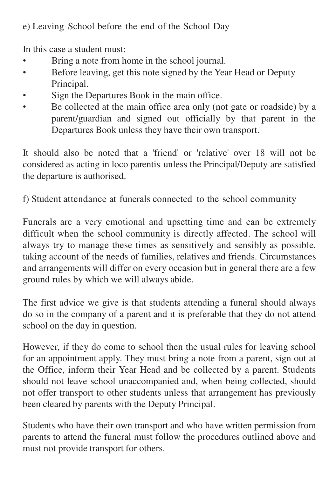e) Leaving School before the end of the School Day

In this case a student must:

- Bring a note from home in the school journal.
- Before leaving, get this note signed by the Year Head or Deputy Principal.
- Sign the Departures Book in the main office.
- Be collected at the main office area only (not gate or roadside) by a parent/guardian and signed out officially by that parent in the Departures Book unless they have their own transport.

It should also be noted that a 'friend' or 'relative' over 18 will not be considered as acting in loco parentis unless the Principal/Deputy are satisfied the departure is authorised.

f) Student attendance at funerals connected to the school community

Funerals are a very emotional and upsetting time and can be extremely difficult when the school community is directly affected. The school will always try to manage these times as sensitively and sensibly as possible, taking account of the needs of families, relatives and friends. Circumstances and arrangements will differ on every occasion but in general there are a few ground rules by which we will always abide.

The first advice we give is that students attending a funeral should always do so in the company of a parent and it is preferable that they do not attend school on the day in question.

However, if they do come to school then the usual rules for leaving school for an appointment apply. They must bring a note from a parent, sign out at the Office, inform their Year Head and be collected by a parent. Students should not leave school unaccompanied and, when being collected, should not offer transport to other students unless that arrangement has previously been cleared by parents with the Deputy Principal.

Students who have their own transport and who have written permission from parents to attend the funeral must follow the procedures outlined above and must not provide transport for others.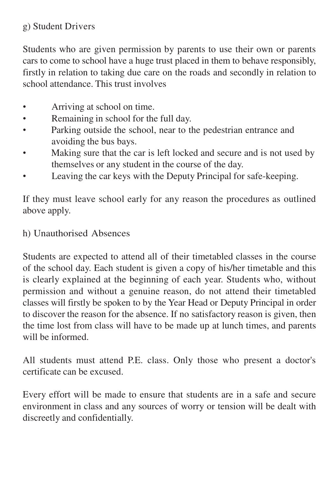## g) Student Drivers

Students who are given permission by parents to use their own or parents cars to come to school have a huge trust placed in them to behave responsibly, firstly in relation to taking due care on the roads and secondly in relation to school attendance. This trust involves

- Arriving at school on time.
- Remaining in school for the full day.
- Parking outside the school, near to the pedestrian entrance and avoiding the bus bays.
- Making sure that the car is left locked and secure and is not used by themselves or any student in the course of the day.
- Leaving the car keys with the Deputy Principal for safe-keeping.

If they must leave school early for any reason the procedures as outlined above apply.

#### h) Unauthorised Absences

Students are expected to attend all of their timetabled classes in the course of the school day. Each student is given a copy of his/her timetable and this is clearly explained at the beginning of each year. Students who, without permission and without a genuine reason, do not attend their timetabled classes will firstly be spoken to by the Year Head or Deputy Principal in order to discover the reason for the absence. If no satisfactory reason is given, then the time lost from class will have to be made up at lunch times, and parents will be informed.

All students must attend P.E. class. Only those who present a doctor's certificate can be excused.

Every effort will be made to ensure that students are in a safe and secure environment in class and any sources of worry or tension will be dealt with discreetly and confidentially.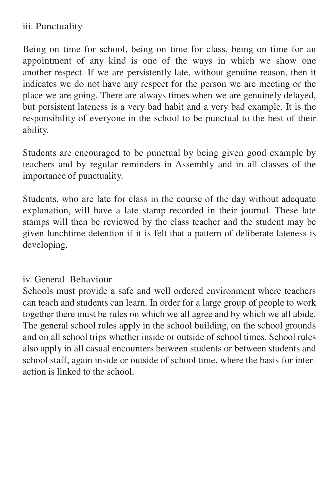#### iii. Punctuality

Being on time for school, being on time for class, being on time for an appointment of any kind is one of the ways in which we show one another respect. If we are persistently late, without genuine reason, then it indicates we do not have any respect for the person we are meeting or the place we are going. There are always times when we are genuinely delayed, but persistent lateness is a very bad habit and a very bad example. It is the responsibility of everyone in the school to be punctual to the best of their ability.

Students are encouraged to be punctual by being given good example by teachers and by regular reminders in Assembly and in all classes of the importance of punctuality.

Students, who are late for class in the course of the day without adequate explanation, will have a late stamp recorded in their journal. These late stamps will then be reviewed by the class teacher and the student may be given lunchtime detention if it is felt that a pattern of deliberate lateness is developing.

#### iv. General Behaviour

Schools must provide a safe and well ordered environment where teachers can teach and students can learn. In order for a large group of people to work together there must be rules on which we all agree and by which we all abide. The general school rules apply in the school building, on the school grounds and on all school trips whether inside or outside of school times. School rules also apply in all casual encounters between students or between students and school staff, again inside or outside of school time, where the basis for interaction is linked to the school.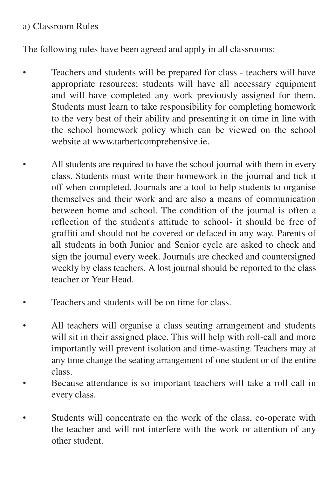#### a) Classroom Rules

The following rules have been agreed and apply in all classrooms:

- Teachers and students will be prepared for class teachers will have appropriate resources; students will have all necessary equipment and will have completed any work previously assigned for them. Students must learn to take responsibility for completing homework to the very best of their ability and presenting it on time in line with the school homework policy which can be viewed on the school website at [www.tarbertcomprehensive.ie.](http://www.tarbertcomprehensive.ie/)
- All students are required to have the school journal with them in every class. Students must write their homework in the journal and tick it off when completed. Journals are a tool to help students to organise themselves and their work and are also a means of communication between home and school. The condition of the journal is often a reflection of the student's attitude to school- it should be free of graffiti and should not be covered or defaced in any way. Parents of all students in both Junior and Senior cycle are asked to check and sign the journal every week. Journals are checked and countersigned weekly by class teachers. A lost journal should be reported to the class teacher or Year Head.
- Teachers and students will be on time for class.
- All teachers will organise a class seating arrangement and students will sit in their assigned place. This will help with roll-call and more importantly will prevent isolation and time-wasting. Teachers may at any time change the seating arrangement of one student or of the entire class.
- Because attendance is so important teachers will take a roll call in every class.
- Students will concentrate on the work of the class, co-operate with the teacher and will not interfere with the work or attention of any other student.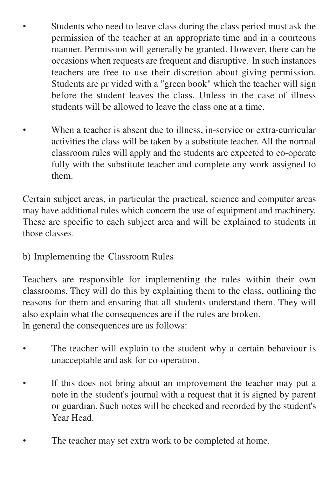- Students who need to leave class during the class period must ask the permission of the teacher at an appropriate time and in a courteous manner. Permission will generally be granted. However, there can be occasions when requests are frequent and disruptive. ln such instances teachers are free to use their discretion about giving permission. Students are pr vided with a "green book" which the teacher will sign before the student leaves the class. Unless in the case of illness students will be allowed to leave the class one at a time.
	- When a teacher is absent due to illness, in-service or extra-curricular activities the class will be taken by a substitute teacher. All the normal classroom rules will apply and the students are expected to co-operate fully with the substitute teacher and complete any work assigned to them.

Certain subject areas, in particular the practical, science and computer areas may have additional rules which concern the use of equipment and machinery. These are specific to each subject area and will be explained to students in those classes.

## b) Implementing the Classroom Rules

Teachers are responsible for implementing the rules within their own classrooms. They will do this by explaining them to the class, outlining the reasons for them and ensuring that all students understand them. They will also explain what the consequences are if the rules are broken. ln general the consequences are as follows:

- The teacher will explain to the student why a certain behaviour is unacceptable and ask for co-operation.
- If this does not bring about an improvement the teacher may put a note in the student's journal with a request that it is signed by parent or guardian. Such notes will be checked and recorded by the student's Year Head.
- The teacher may set extra work to be completed at home.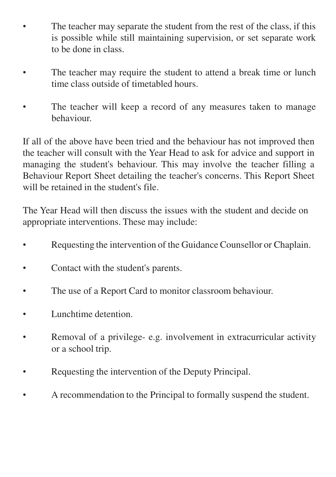- The teacher may separate the student from the rest of the class, if this is possible while still maintaining supervision, or set separate work to be done in class.
- The teacher may require the student to attend a break time or lunch time class outside of timetabled hours.
- The teacher will keep a record of any measures taken to manage behaviour.

If all of the above have been tried and the behaviour has not improved then the teacher will consult with the Year Head to ask for advice and support in managing the student's behaviour. This may involve the teacher filling a Behaviour Report Sheet detailing the teacher's concerns. This Report Sheet will be retained in the student's file.

The Year Head will then discuss the issues with the student and decide on appropriate interventions. These may include:

- Requesting the intervention of the Guidance Counsellor or Chaplain.
- Contact with the student's parents.
- The use of a Report Card to monitor classroom behaviour.
- Lunchtime detention.
- Removal of a privilege- e.g. involvement in extracurricular activity or a school trip.
- Requesting the intervention of the Deputy Principal.
- A recommendation to the Principal to formally suspend the student.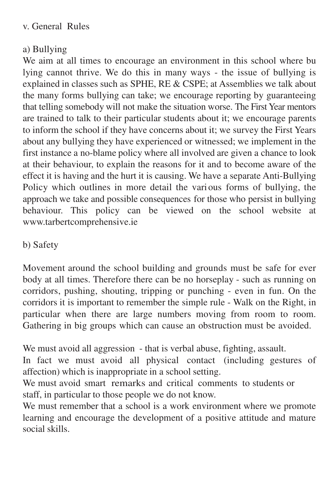## a) Bullying

We aim at all times to encourage an environment in this school where bu lying cannot thrive. We do this in many ways - the issue of bullying is explained in classes such as SPHE, RE & CSPE; at Assemblies we talk about the many forms bullying can take; we encourage reporting by guaranteeing that telling somebody will not make the situation worse. The First Year mentors are trained to talk to their particular students about it; we encourage parents to inform the school if they have concerns about it; we survey the First Years about any bullying they have experienced or witnessed; we implement in the first instance a no-blame policy where all involved are given a chance to look at their behaviour, to explain the reasons for it and to become aware of the effect it is having and the hurt it is causing. We have a separate Anti-Bullying Policy which outlines in more detail the vari ous forms of bullying, the approach we take and possible consequences for those who persist in bullying behaviour. This policy can be viewed on the school website at [www.tarbertcomprehensive.ie](http://www.tarbertcomprehensive.ie/)

## b) Safety

Movement around the school building and grounds must be safe for ever body at all times. Therefore there can be no horseplay - such as running on corridors, pushing, shouting, tripping or punching - even in fun. On the corridors it is important to remember the simple rule - Walk on the Right, in particular when there are large numbers moving from room to room. Gathering in big groups which can cause an obstruction must be avoided.

We must avoid all aggression - that is verbal abuse, fighting, assault.

In fact we must avoid all physical contact (including gestures of affection) which is inappropriate in a school setting.

We must avoid smart remarks and critical comments to students or staff, in particular to those people we do not know.

We must remember that a school is a work environment where we promote learning and encourage the development of a positive attitude and mature social skills.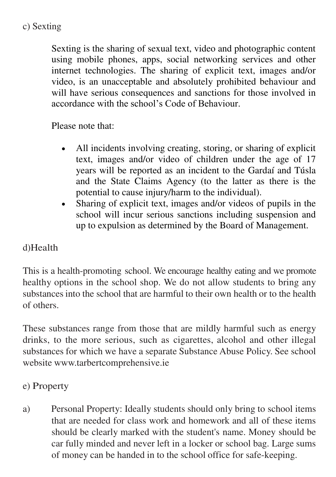### c) Sexting

Sexting is the sharing of sexual text, video and photographic content using mobile phones, apps, social networking services and other internet technologies. The sharing of explicit text, images and/or video, is an unacceptable and absolutely prohibited behaviour and will have serious consequences and sanctions for those involved in accordance with the school's Code of Behaviour.

Please note that:

- All incidents involving creating, storing, or sharing of explicit text, images and/or video of children under the age of 17 years will be reported as an incident to the Gardaí and Túsla and the State Claims Agency (to the latter as there is the potential to cause injury/harm to the individual).
- Sharing of explicit text, images and/or videos of pupils in the school will incur serious sanctions including suspension and up to expulsion as determined by the Board of Management.

#### d)Health

This is a health-promoting school. We encourage healthy eating and we promote healthy options in the school shop. We do not allow students to bring any substances into the school that are harmful to their own health or to the health of others.

These substances range from those that are mildly harmful such as energy drinks, to the more serious, such as cigarettes, alcohol and other illegal substances for which we have a separate Substance Abuse Policy. See school websit[e www.tarbertcomprehensive.ie](http://www.tarbertcomprehensive.ie/)

## e) Property

a) Personal Property: Ideally students should only bring to school items that are needed for class work and homework and all of these items should be clearly marked with the student's name. Money should be car fully minded and never left in a locker or school bag. Large sums of money can be handed in to the school office for safe-keeping.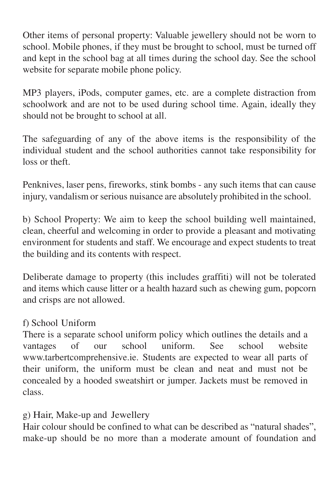Other items of personal property: Valuable jewellery should not be worn to school. Mobile phones, if they must be brought to school, must be turned off and kept in the school bag at all times during the school day. See the school website for separate mobile phone policy.

MP3 players, iPods, computer games, etc. are a complete distraction from schoolwork and are not to be used during school time. Again, ideally they should not be brought to school at all.

The safeguarding of any of the above items is the responsibility of the individual student and the school authorities cannot take responsibility for loss or theft.

Penknives, laser pens, fireworks, stink bombs - any such items that can cause injury, vandalism or serious nuisance are absolutely prohibited in the school.

b) School Property: We aim to keep the school building well maintained, clean, cheerful and welcoming in order to provide a pleasant and motivating environment for students and staff. We encourage and expect students to treat the building and its contents with respect.

Deliberate damage to property (this includes graffiti) will not be tolerated and items which cause litter or a health hazard such as chewing gum, popcorn and crisps are not allowed.

#### f) School Uniform

There is a separate school uniform policy which outlines the details and a vantages of our school uniform. See school website [www.tarbertcomprehensive.ie. S](http://www.tarbertcomprehensive.ie/)tudents are expected to wear all parts of their uniform, the uniform must be clean and neat and must not be concealed by a hooded sweatshirt or jumper. Jackets must be removed in class.

## g) Hair, Make-up and Jewellery

Hair colour should be confined to what can be described as "natural shades", make-up should be no more than a moderate amount of foundation and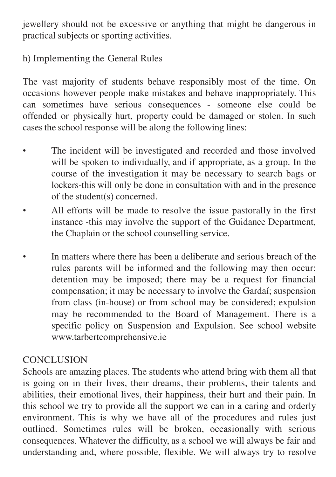jewellery should not be excessive or anything that might be dangerous in practical subjects or sporting activities.

h) Implementing the General Rules

The vast majority of students behave responsibly most of the time. On occasions however people make mistakes and behave inappropriately. This can sometimes have serious consequences - someone else could be offended or physically hurt, property could be damaged or stolen. In such cases the school response will be along the following lines:

- The incident will be investigated and recorded and those involved will be spoken to individually, and if appropriate, as a group. In the course of the investigation it may be necessary to search bags or lockers-this will only be done in consultation with and in the presence of the student(s) concerned.
- All efforts will be made to resolve the issue pastorally in the first instance -this may involve the support of the Guidance Department, the Chaplain or the school counselling service.
- In matters where there has been a deliberate and serious breach of the rules parents will be informed and the following may then occur: detention may be imposed; there may be a request for financial compensation; it may be necessary to involve the Gardaí; suspension from class (in-house) or from school may be considered; expulsion may be recommended to the Board of Management. There is a specific policy on Suspension and Expulsion. See school website [www.tarbertcomprehensive.ie](http://www.tarbertcomprehensive.ie/)

## **CONCLUSION**

Schools are amazing places. The students who attend bring with them all that is going on in their lives, their dreams, their problems, their talents and abilities, their emotional lives, their happiness, their hurt and their pain. In this school we try to provide all the support we can in a caring and orderly environment. This is why we have all of the procedures and rules just outlined. Sometimes rules will be broken, occasionally with serious consequences. Whatever the difficulty, as a school we will always be fair and understanding and, where possible, flexible. We will always try to resolve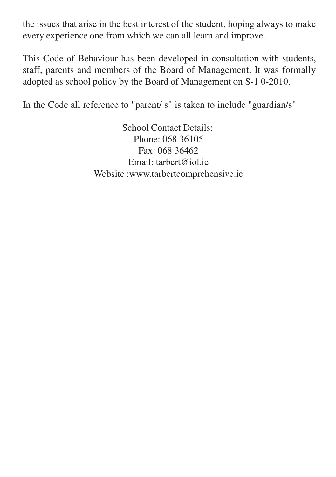the issues that arise in the best interest of the student, hoping always to make every experience one from which we can all learn and improve.

This Code of Behaviour has been developed in consultation with students, staff, parents and members of the Board of Management. It was formally adopted as school policy by the Board of Management on S-1 0-2010.

In the Code all reference to "parent/ s" is taken to include "guardian/s"

School Contact Details: Phone: 068 36105 Fax: 068 36462 Email: [tarbert@iol.ie](mailto:tarbert@iol.ie) Websit[e :www.tarbertcomprehensive.ie](http://www.tarbertcomprehensive.ie/)